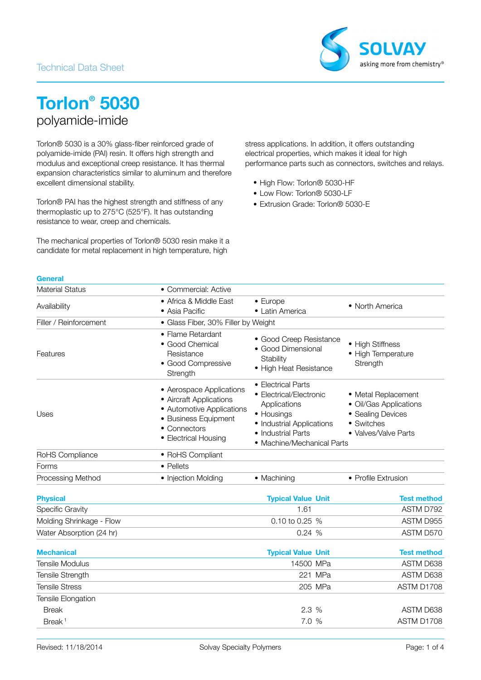### Technical Data Sheet



# **Torlon® 5030** polyamide-imide

Torlon® 5030 is a 30% glass-fiber reinforced grade of polyamide-imide (PAI) resin. It offers high strength and modulus and exceptional creep resistance. It has thermal expansion characteristics similar to aluminum and therefore excellent dimensional stability.

Torlon® PAI has the highest strength and stiffness of any thermoplastic up to 275°C (525°F). It has outstanding resistance to wear, creep and chemicals.

The mechanical properties of Torlon® 5030 resin make it a candidate for metal replacement in high temperature, high

stress applications. In addition, it offers outstanding electrical properties, which makes it ideal for high performance parts such as connectors, switches and relays.

- High Flow: Torlon® 5030-HF
- Low Flow: Torlon® 5030-LF
- Extrusion Grade: Torlon® 5030-E

#### **General**

| <b>Material Status</b> | • Commercial: Active                                                                                                                             |                                                                                                                                                              |                                                                                                          |  |
|------------------------|--------------------------------------------------------------------------------------------------------------------------------------------------|--------------------------------------------------------------------------------------------------------------------------------------------------------------|----------------------------------------------------------------------------------------------------------|--|
| Availability           | • Africa & Middle East<br>• Asia Pacific                                                                                                         | $\bullet$ Europe<br>• Latin America                                                                                                                          | • North America                                                                                          |  |
| Filler / Reinforcement | • Glass Fiber, 30% Filler by Weight                                                                                                              |                                                                                                                                                              |                                                                                                          |  |
| Features               | • Flame Retardant<br>• Good Chemical<br>Resistance<br>· Good Compressive<br>Strength                                                             | • Good Creep Resistance<br>• Good Dimensional<br>Stability<br>• High Heat Resistance                                                                         | • High Stiffness<br>• High Temperature<br>Strength                                                       |  |
| Uses                   | • Aerospace Applications<br>• Aircraft Applications<br>• Automotive Applications<br>• Business Equipment<br>• Connectors<br>• Electrical Housing | • Electrical Parts<br>• Electrical/Electronic<br>Applications<br>• Housings<br>• Industrial Applications<br>• Industrial Parts<br>• Machine/Mechanical Parts | • Metal Replacement<br>• Oil/Gas Applications<br>• Sealing Devices<br>• Switches<br>• Valves/Valve Parts |  |
| RoHS Compliance        | • RoHS Compliant                                                                                                                                 |                                                                                                                                                              |                                                                                                          |  |
| Forms                  | • Pellets                                                                                                                                        |                                                                                                                                                              |                                                                                                          |  |
| Processing Method      | • Injection Molding                                                                                                                              | • Machining                                                                                                                                                  | • Profile Extrusion                                                                                      |  |

| <b>Physical</b>          | <b>Typical Value Unit</b> | <b>Test method</b> |
|--------------------------|---------------------------|--------------------|
| <b>Specific Gravity</b>  | 1.61                      | ASTM D792          |
| Molding Shrinkage - Flow | 0.10 to 0.25 %            | ASTM D955          |
| Water Absorption (24 hr) | 0.24%                     | ASTM D570          |

| <b>Mechanical</b>     | <b>Typical Value Unit</b> | <b>Test method</b> |
|-----------------------|---------------------------|--------------------|
| Tensile Modulus       | 14500 MPa                 | ASTM D638          |
| Tensile Strength      | 221 MPa                   | ASTM D638          |
| <b>Tensile Stress</b> | 205 MPa                   | ASTM D1708         |
| Tensile Elongation    |                           |                    |
| <b>Break</b>          | 2.3%                      | ASTM D638          |
| Break <sup>1</sup>    | 7.0%                      | ASTM D1708         |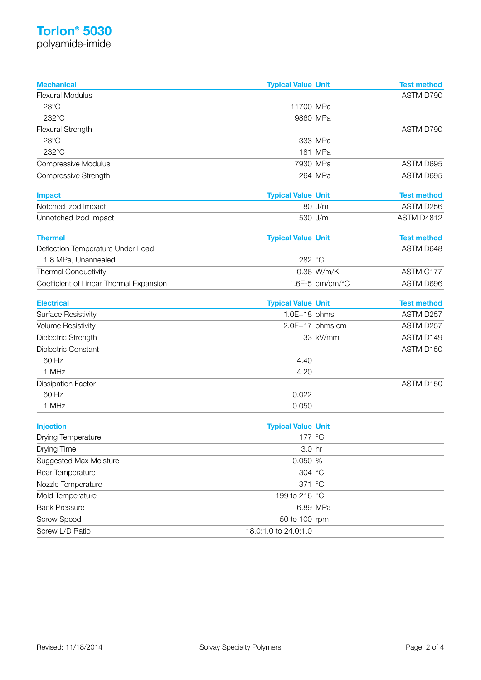## **Torlon® 5030**

polyamide-imide

| <b>Mechanical</b>                       | <b>Typical Value Unit</b> |                 | <b>Test method</b> |
|-----------------------------------------|---------------------------|-----------------|--------------------|
| <b>Flexural Modulus</b>                 |                           |                 | ASTM D790          |
| 23°C                                    | 11700 MPa                 |                 |                    |
| 232°C                                   | 9860 MPa                  |                 |                    |
| Flexural Strength                       |                           |                 | ASTM D790          |
| $23^{\circ}$ C                          |                           | 333 MPa         |                    |
| 232°C                                   |                           | 181 MPa         |                    |
| <b>Compressive Modulus</b>              | 7930 MPa                  |                 | ASTM D695          |
| Compressive Strength                    |                           | 264 MPa         | ASTM D695          |
| <b>Impact</b>                           | <b>Typical Value Unit</b> |                 | <b>Test method</b> |
| Notched Izod Impact                     |                           | 80 J/m          | ASTM D256          |
| Unnotched Izod Impact                   | 530 J/m                   |                 | ASTM D4812         |
| <b>Thermal</b>                          | <b>Typical Value Unit</b> |                 | <b>Test method</b> |
| Deflection Temperature Under Load       |                           |                 | ASTM D648          |
| 1.8 MPa, Unannealed                     | 282 °C                    |                 |                    |
| <b>Thermal Conductivity</b>             |                           | 0.36 W/m/K      | ASTM C177          |
| Coefficient of Linear Thermal Expansion |                           | 1.6E-5 cm/cm/°C | ASTM D696          |
| <b>Electrical</b>                       | <b>Typical Value Unit</b> |                 | <b>Test method</b> |
| <b>Surface Resistivity</b>              | $1.0E+18$ ohms            |                 | ASTM D257          |
| <b>Volume Resistivity</b>               |                           | 2.0E+17 ohms·cm | ASTM D257          |
| Dielectric Strength                     |                           | 33 kV/mm        | ASTM D149          |
| Dielectric Constant                     |                           |                 | ASTM D150          |
| 60 Hz                                   | 4.40                      |                 |                    |
| 1 MHz                                   | 4.20                      |                 |                    |
| <b>Dissipation Factor</b>               |                           |                 | ASTM D150          |
| 60 Hz                                   | 0.022                     |                 |                    |
| 1 MHz                                   | 0.050                     |                 |                    |
| <b>Injection</b>                        | <b>Typical Value Unit</b> |                 |                    |
| Drying Temperature                      | 177 °C                    |                 |                    |
| Drying Time                             | 3.0 hr                    |                 |                    |
| Suggested Max Moisture                  | 0.050 %                   |                 |                    |
| Rear Temperature                        | 304 °C                    |                 |                    |
| Nozzle Temperature                      | 371 °C                    |                 |                    |
| Mold Temperature                        | 199 to 216 °C             |                 |                    |
| <b>Back Pressure</b>                    |                           | 6.89 MPa        |                    |
| <b>Screw Speed</b>                      | 50 to 100 rpm             |                 |                    |
| Screw L/D Ratio                         | 18.0:1.0 to 24.0:1.0      |                 |                    |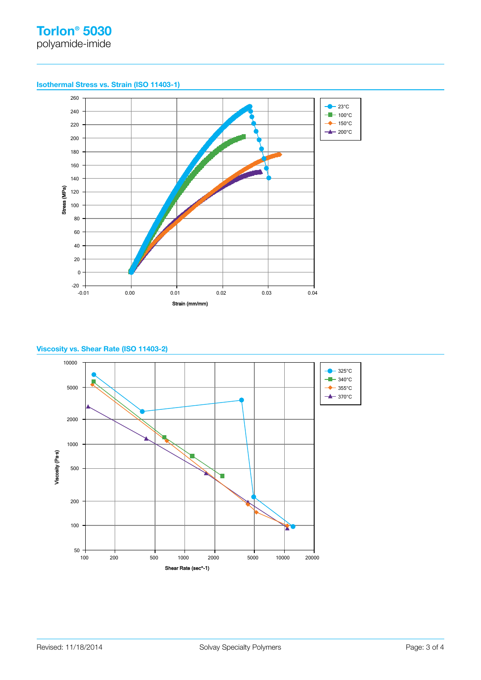**Isothermal Stress vs. Strain (ISO 11403-1)**



### **Viscosity vs. Shear Rate (ISO 11403-2)**